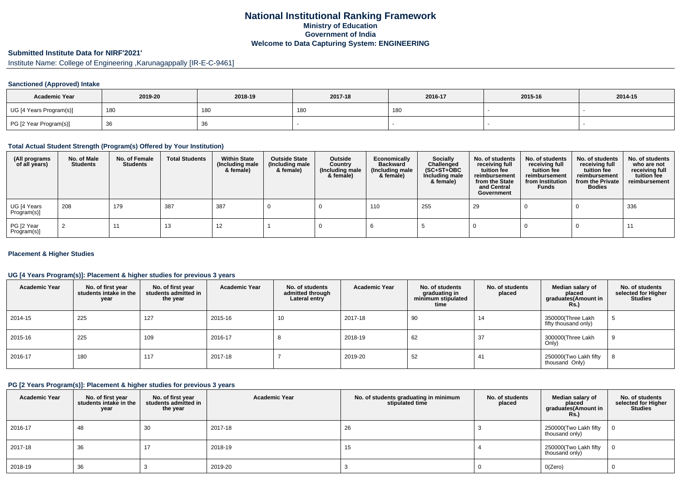# **National Institutional Ranking FrameworkMinistry of Education Government of IndiaWelcome to Data Capturing System: ENGINEERING**

# **Submitted Institute Data for NIRF'2021'**

Institute Name: College of Engineering ,Karunagappally [IR-E-C-9461]

## **Sanctioned (Approved) Intake**

| <b>Academic Year</b>    | 2019-20 | 2018-19    | 2017-18         | 2016-17 | 2015-16 | 2014-15 |
|-------------------------|---------|------------|-----------------|---------|---------|---------|
| UG [4 Years Program(s)] | 180     | <b>180</b> | 18 <sub>L</sub> | 180     |         |         |
| PG [2 Year Program(s)]  | -၁၀     | 36         |                 |         |         |         |

## **Total Actual Student Strength (Program(s) Offered by Your Institution)**

| (All programs<br>of all years) | No. of Male<br><b>Students</b> | No. of Female<br><b>Students</b> | <b>Total Students</b> | <b>Within State</b><br>(Including male<br>& female) | <b>Outside State</b><br>(Including male<br>& female) | <b>Outside</b><br>Country<br>(Including male<br>& female) | Economically<br>Backward<br>(Including male<br>& female) | Socially<br>Challenged<br>$(SC+ST+OBC)$<br>Including male<br>& female) | No. of students<br>receiving full<br>tuition fee<br>reimbursement<br>from the State<br>and Central<br>Government | No. of students<br>receiving full<br>tuition fee<br>reimbursement<br>from Institution<br><b>Funds</b> | No. of students<br>receiving full<br>tuition fee<br>reimbursement<br>from the Private<br><b>Bodies</b> | No. of students<br>who are not<br>receiving full<br>tuition fee<br>reimbursement |
|--------------------------------|--------------------------------|----------------------------------|-----------------------|-----------------------------------------------------|------------------------------------------------------|-----------------------------------------------------------|----------------------------------------------------------|------------------------------------------------------------------------|------------------------------------------------------------------------------------------------------------------|-------------------------------------------------------------------------------------------------------|--------------------------------------------------------------------------------------------------------|----------------------------------------------------------------------------------|
| UG [4 Years<br>Program(s)]     | 208                            | 179                              | 387                   | 387                                                 |                                                      |                                                           | 110                                                      | 255                                                                    | 29                                                                                                               |                                                                                                       |                                                                                                        | 336                                                                              |
| PG [2 Year<br>Program(s)]      |                                | 11                               | 13                    | 12                                                  |                                                      |                                                           |                                                          |                                                                        |                                                                                                                  |                                                                                                       |                                                                                                        | -11                                                                              |

#### **Placement & Higher Studies**

## **UG [4 Years Program(s)]: Placement & higher studies for previous 3 years**

| <b>Academic Year</b> | No. of first year<br>students intake in the<br>year | No. of first vear<br>students admitted in<br>the year | <b>Academic Year</b> | No. of students<br>admitted through<br>Lateral entry | <b>Academic Year</b> | No. of students<br>graduating in<br>minimum stipulated<br>time | No. of students<br>placed | Median salary of<br>placed<br>graduates(Amount in<br>Rs.) | No. of students<br>selected for Higher<br><b>Studies</b> |
|----------------------|-----------------------------------------------------|-------------------------------------------------------|----------------------|------------------------------------------------------|----------------------|----------------------------------------------------------------|---------------------------|-----------------------------------------------------------|----------------------------------------------------------|
| 2014-15              | 225                                                 | 127                                                   | 2015-16              | 10                                                   | 2017-18              | 90                                                             | 14                        | 350000(Three Lakh<br>fifty thousand only)                 | G                                                        |
| 2015-16              | 225                                                 | 109                                                   | 2016-17              |                                                      | 2018-19              | 62                                                             | 37                        | 300000(Three Lakh<br>Only)                                | 9                                                        |
| 2016-17              | 180                                                 | 117                                                   | 2017-18              |                                                      | 2019-20              | 52                                                             | 41                        | 250000(Two Lakh fifty<br>thousand Only)                   | $\circ$                                                  |

## **PG [2 Years Program(s)]: Placement & higher studies for previous 3 years**

| <b>Academic Year</b> | No. of first year<br>students intake in the<br>year | No. of first year<br>students admitted in<br>the year | <b>Academic Year</b> | No. of students graduating in minimum<br>stipulated time | No. of students<br>placed | Median salary of<br>placed<br>graduates(Amount in<br><b>Rs.)</b> | No. of students<br>selected for Higher<br><b>Studies</b> |
|----------------------|-----------------------------------------------------|-------------------------------------------------------|----------------------|----------------------------------------------------------|---------------------------|------------------------------------------------------------------|----------------------------------------------------------|
| 2016-17              | 48                                                  | 30                                                    | 2017-18              | 26                                                       |                           | 250000(Two Lakh fifty<br>thousand only)                          |                                                          |
| 2017-18              | 36                                                  |                                                       | 2018-19              | 15                                                       |                           | 250000(Two Lakh fifty<br>thousand only)                          |                                                          |
| 2018-19              | 36                                                  |                                                       | 2019-20              |                                                          |                           | O(Zero)                                                          |                                                          |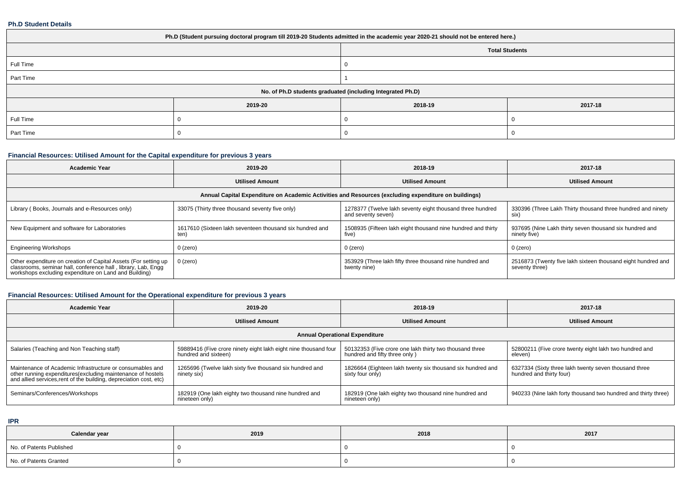#### **Ph.D Student Details**

| Ph.D (Student pursuing doctoral program till 2019-20 Students admitted in the academic year 2020-21 should not be entered here.) |         |                                                            |         |  |  |  |  |
|----------------------------------------------------------------------------------------------------------------------------------|---------|------------------------------------------------------------|---------|--|--|--|--|
|                                                                                                                                  |         | <b>Total Students</b>                                      |         |  |  |  |  |
| Full Time                                                                                                                        |         |                                                            |         |  |  |  |  |
| Part Time                                                                                                                        |         |                                                            |         |  |  |  |  |
|                                                                                                                                  |         | No. of Ph.D students graduated (including Integrated Ph.D) |         |  |  |  |  |
|                                                                                                                                  | 2019-20 | 2018-19                                                    | 2017-18 |  |  |  |  |
| Full Time                                                                                                                        |         |                                                            |         |  |  |  |  |
| Part Time                                                                                                                        |         |                                                            |         |  |  |  |  |

# **Financial Resources: Utilised Amount for the Capital expenditure for previous 3 years**

| <b>Academic Year</b>                                                                                                                                                                   | 2019-20                                                                                              | 2018-19                                                                         | 2017-18                                                                        |  |  |  |  |  |  |
|----------------------------------------------------------------------------------------------------------------------------------------------------------------------------------------|------------------------------------------------------------------------------------------------------|---------------------------------------------------------------------------------|--------------------------------------------------------------------------------|--|--|--|--|--|--|
|                                                                                                                                                                                        | <b>Utilised Amount</b>                                                                               | <b>Utilised Amount</b>                                                          | <b>Utilised Amount</b>                                                         |  |  |  |  |  |  |
|                                                                                                                                                                                        | Annual Capital Expenditure on Academic Activities and Resources (excluding expenditure on buildings) |                                                                                 |                                                                                |  |  |  |  |  |  |
| Library (Books, Journals and e-Resources only)                                                                                                                                         | 33075 (Thirty three thousand seventy five only)                                                      | 1278377 (Twelve lakh seventy eight thousand three hundred<br>and seventy seven) | 330396 (Three Lakh Thirty thousand three hundred and ninety<br>six)            |  |  |  |  |  |  |
| New Equipment and software for Laboratories                                                                                                                                            | 1617610 (Sixteen lakh seventeen thousand six hundred and<br>ten)                                     | 1508935 (Fifteen lakh eight thousand nine hundred and thirty<br>five)           | 937695 (Nine Lakh thirty seven thousand six hundred and<br>ninety five)        |  |  |  |  |  |  |
| <b>Engineering Workshops</b>                                                                                                                                                           | $0$ (zero)                                                                                           | $0$ (zero)                                                                      | 0 (zero)                                                                       |  |  |  |  |  |  |
| Other expenditure on creation of Capital Assets (For setting up classrooms, seminar hall, conference hall, library, Lab, Engg<br>workshops excluding expenditure on Land and Building) | $0$ (zero)                                                                                           | 353929 (Three lakh fifty three thousand nine hundred and<br>twenty nine)        | 2516873 (Twenty five lakh sixteen thousand eight hundred and<br>seventy three) |  |  |  |  |  |  |

# **Financial Resources: Utilised Amount for the Operational expenditure for previous 3 years**

| <b>Academic Year</b>                                                                                                                                                                            | 2019-20                                                                                 | 2018-19                                                                                  | 2017-18                                                                           |  |
|-------------------------------------------------------------------------------------------------------------------------------------------------------------------------------------------------|-----------------------------------------------------------------------------------------|------------------------------------------------------------------------------------------|-----------------------------------------------------------------------------------|--|
|                                                                                                                                                                                                 | <b>Utilised Amount</b>                                                                  | <b>Utilised Amount</b>                                                                   | <b>Utilised Amount</b>                                                            |  |
|                                                                                                                                                                                                 |                                                                                         | <b>Annual Operational Expenditure</b>                                                    |                                                                                   |  |
| Salaries (Teaching and Non Teaching staff)                                                                                                                                                      | 59889416 (Five crore ninety eight lakh eight nine thousand four<br>hundred and sixteen) | 50132353 (Five crore one lakh thirty two thousand three<br>hundred and fifty three only) | 52800211 (Five crore twenty eight lakh two hundred and<br>eleven)                 |  |
| Maintenance of Academic Infrastructure or consumables and<br>other running expenditures (excluding maintenance of hostels<br>and allied services, rent of the building, depreciation cost, etc) | 1265696 (Twelve lakh sixty five thousand six hundred and<br>ninety six)                 | 1826664 (Eighteen lakh twenty six thousand six hundred and<br>sixty four only)           | 6327334 (Sixty three lakh twenty seven thousand three<br>hundred and thirty four) |  |
| Seminars/Conferences/Workshops                                                                                                                                                                  | 182919 (One lakh eighty two thousand nine hundred and<br>nineteen only)                 | 182919 (One lakh eighty two thousand nine hundred and<br>nineteen only)                  | 940233 (Nine lakh forty thousand two hundred and thirty three)                    |  |

**IPR**

| Calendar year            | 2019 | 2018 | 2017 |
|--------------------------|------|------|------|
| No. of Patents Published |      |      |      |
| No. of Patents Granted   |      |      |      |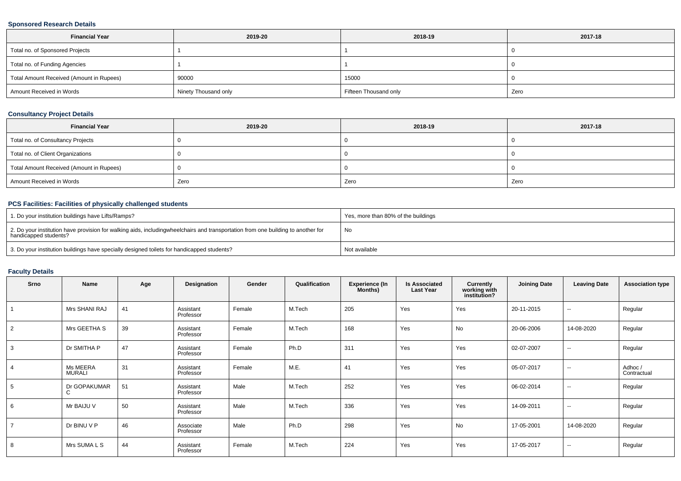## **Sponsored Research Details**

| <b>Financial Year</b>                    | 2019-20              | 2018-19               | 2017-18 |
|------------------------------------------|----------------------|-----------------------|---------|
| Total no. of Sponsored Projects          |                      |                       |         |
| Total no. of Funding Agencies            |                      |                       |         |
| Total Amount Received (Amount in Rupees) | 90000                | 15000                 |         |
| Amount Received in Words                 | Ninety Thousand only | Fifteen Thousand only | Zero    |

## **Consultancy Project Details**

| <b>Financial Year</b>                    | 2019-20 | 2018-19 | 2017-18 |
|------------------------------------------|---------|---------|---------|
| Total no. of Consultancy Projects        |         |         |         |
| Total no. of Client Organizations        |         |         |         |
| Total Amount Received (Amount in Rupees) |         |         |         |
| Amount Received in Words                 | Zero    | Zero    | Zero    |

# **PCS Facilities: Facilities of physically challenged students**

| 1. Do your institution buildings have Lifts/Ramps?                                                                                                        | Yes, more than 80% of the buildings |
|-----------------------------------------------------------------------------------------------------------------------------------------------------------|-------------------------------------|
| 2. Do your institution have provision for walking aids, includingwheelchairs and transportation from one building to another for<br>handicapped students? | No                                  |
| 3. Do your institution buildings have specially designed toilets for handicapped students?                                                                | Not available                       |

# **Faculty Details**

| Srno | Name                      | Age | Designation            | Gender | Qualification | <b>Experience (In</b><br>Months) | <b>Is Associated</b><br><b>Last Year</b> | <b>Currently</b><br>working with<br>institution? | <b>Joining Date</b> | <b>Leaving Date</b>      | <b>Association type</b> |
|------|---------------------------|-----|------------------------|--------|---------------|----------------------------------|------------------------------------------|--------------------------------------------------|---------------------|--------------------------|-------------------------|
|      | Mrs SHANI RAJ             | 41  | Assistant<br>Professor | Female | M.Tech        | 205                              | Yes                                      | Yes                                              | 20-11-2015          | $\overline{\phantom{a}}$ | Regular                 |
| 2    | Mrs GEETHA S              | 39  | Assistant<br>Professor | Female | M.Tech        | 168                              | Yes                                      | No                                               | 20-06-2006          | 14-08-2020               | Regular                 |
|      | Dr SMITHA P               | 47  | Assistant<br>Professor | Female | Ph.D          | 311                              | Yes                                      | Yes                                              | 02-07-2007          | $\sim$                   | Regular                 |
|      | Ms MEERA<br><b>MURALI</b> | 31  | Assistant<br>Professor | Female | M.E.          | 41                               | Yes                                      | Yes                                              | 05-07-2017          | $\overline{\phantom{a}}$ | Adhoc/<br>Contractual   |
|      | Dr GOPAKUMAR<br>C         | 51  | Assistant<br>Professor | Male   | M.Tech        | 252                              | Yes                                      | Yes                                              | 06-02-2014          | $\sim$                   | Regular                 |
| 6    | Mr BAIJU V                | 50  | Assistant<br>Professor | Male   | M.Tech        | 336                              | Yes                                      | Yes                                              | 14-09-2011          | $\sim$                   | Regular                 |
|      | Dr BINU V P               | 46  | Associate<br>Professor | Male   | Ph.D          | 298                              | Yes                                      | No                                               | 17-05-2001          | 14-08-2020               | Regular                 |
|      | Mrs SUMA L S              | 44  | Assistant<br>Professor | Female | M.Tech        | 224                              | Yes                                      | Yes                                              | 17-05-2017          | $\sim$                   | Regular                 |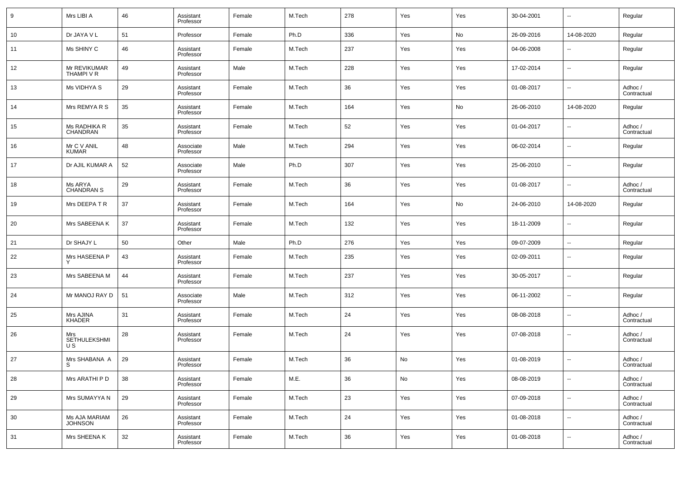| 9  | Mrs LIBI A                      | 46 | Assistant<br>Professor | Female | M.Tech | 278 | Yes | Yes | 30-04-2001 | $\overline{\phantom{a}}$ | Regular                |
|----|---------------------------------|----|------------------------|--------|--------|-----|-----|-----|------------|--------------------------|------------------------|
| 10 | Dr JAYA V L                     | 51 | Professor              | Female | Ph.D   | 336 | Yes | No  | 26-09-2016 | 14-08-2020               | Regular                |
| 11 | Ms SHINY C                      | 46 | Assistant<br>Professor | Female | M.Tech | 237 | Yes | Yes | 04-06-2008 | $\overline{\phantom{a}}$ | Regular                |
| 12 | Mr REVIKUMAR<br>THAMPI V R      | 49 | Assistant<br>Professor | Male   | M.Tech | 228 | Yes | Yes | 17-02-2014 | $\overline{\phantom{a}}$ | Regular                |
| 13 | Ms VIDHYA S                     | 29 | Assistant<br>Professor | Female | M.Tech | 36  | Yes | Yes | 01-08-2017 | $\overline{\phantom{a}}$ | Adhoc /<br>Contractual |
| 14 | Mrs REMYA R S                   | 35 | Assistant<br>Professor | Female | M.Tech | 164 | Yes | No  | 26-06-2010 | 14-08-2020               | Regular                |
| 15 | Ms RADHIKA R<br>CHANDRAN        | 35 | Assistant<br>Professor | Female | M.Tech | 52  | Yes | Yes | 01-04-2017 | $\overline{\phantom{a}}$ | Adhoc /<br>Contractual |
| 16 | Mr C V ANIL<br><b>KUMAR</b>     | 48 | Associate<br>Professor | Male   | M.Tech | 294 | Yes | Yes | 06-02-2014 | $\overline{\phantom{a}}$ | Regular                |
| 17 | Dr AJIL KUMAR A                 | 52 | Associate<br>Professor | Male   | Ph.D   | 307 | Yes | Yes | 25-06-2010 | $\overline{\phantom{a}}$ | Regular                |
| 18 | Ms ARYA<br><b>CHANDRAN S</b>    | 29 | Assistant<br>Professor | Female | M.Tech | 36  | Yes | Yes | 01-08-2017 | $\overline{\phantom{a}}$ | Adhoc /<br>Contractual |
| 19 | Mrs DEEPATR                     | 37 | Assistant<br>Professor | Female | M.Tech | 164 | Yes | No  | 24-06-2010 | 14-08-2020               | Regular                |
| 20 | Mrs SABEENA K                   | 37 | Assistant<br>Professor | Female | M.Tech | 132 | Yes | Yes | 18-11-2009 | $\overline{\phantom{a}}$ | Regular                |
| 21 | Dr SHAJY L                      | 50 | Other                  | Male   | Ph.D   | 276 | Yes | Yes | 09-07-2009 | $\overline{\phantom{a}}$ | Regular                |
| 22 | Mrs HASEENA P                   | 43 | Assistant<br>Professor | Female | M.Tech | 235 | Yes | Yes | 02-09-2011 | $\ddotsc$                | Regular                |
| 23 | Mrs SABEENA M                   | 44 | Assistant<br>Professor | Female | M.Tech | 237 | Yes | Yes | 30-05-2017 | $\sim$                   | Regular                |
| 24 | Mr MANOJ RAY D                  | 51 | Associate<br>Professor | Male   | M.Tech | 312 | Yes | Yes | 06-11-2002 | $\sim$                   | Regular                |
| 25 | Mrs AJINA<br>KHADER             | 31 | Assistant<br>Professor | Female | M.Tech | 24  | Yes | Yes | 08-08-2018 | $\sim$                   | Adhoc /<br>Contractual |
| 26 | Mrs<br>SETHULEKSHMI<br>U S      | 28 | Assistant<br>Professor | Female | M.Tech | 24  | Yes | Yes | 07-08-2018 | $\sim$                   | Adhoc /<br>Contractual |
| 27 | Mrs SHABANA A<br>S              | 29 | Assistant<br>Professor | Female | M.Tech | 36  | No  | Yes | 01-08-2019 |                          | Adhoc /<br>Contractual |
| 28 | Mrs ARATHI P D                  | 38 | Assistant<br>Professor | Female | M.E.   | 36  | No  | Yes | 08-08-2019 | $\sim$                   | Adhoc /<br>Contractual |
| 29 | Mrs SUMAYYA N                   | 29 | Assistant<br>Professor | Female | M.Tech | 23  | Yes | Yes | 07-09-2018 | $\sim$                   | Adhoc /<br>Contractual |
| 30 | Ms AJA MARIAM<br><b>JOHNSON</b> | 26 | Assistant<br>Professor | Female | M.Tech | 24  | Yes | Yes | 01-08-2018 | $\sim$                   | Adhoc /<br>Contractual |
| 31 | Mrs SHEENA K                    | 32 | Assistant<br>Professor | Female | M.Tech | 36  | Yes | Yes | 01-08-2018 |                          | Adhoc /<br>Contractual |